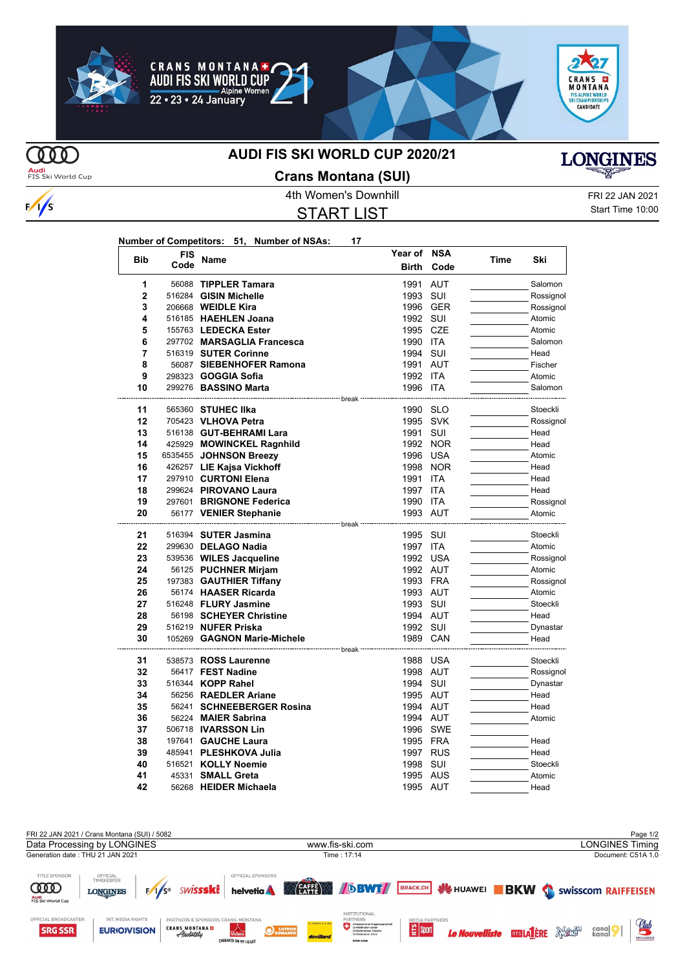









 $\frac{1}{s}$ 

## **AUDI FIS SKI WORLD CUP 2020/21**



## 4th Women's Downhill FRI 22 JAN 2021 **Crans Montana (SUI)**

START LIST

**LONGINES** 

Start Time 10:00

| Number of Competitors: 51, Number of NSAs: |  | 17 |
|--------------------------------------------|--|----|
|                                            |  |    |

| <b>Bib</b>     | <b>FIS</b> |                                                         | Year of NSA      |            |      |           |
|----------------|------------|---------------------------------------------------------|------------------|------------|------|-----------|
|                | Code       | Name                                                    | <b>Birth</b>     | Code       | Time | Ski       |
| 1              |            | 56088 TIPPLER Tamara                                    | 1991             | AUT        |      | Salomon   |
| $\overline{2}$ |            | 516284 GISIN Michelle                                   | 1993 SUI         |            |      | Rossignol |
| 3              |            | 206668 <b>WEIDLE Kira</b>                               |                  | 1996 GER   |      | Rossignol |
| 4              |            | 516185 HAEHLEN Joana                                    | 1992 SUI         |            |      | Atomic    |
| 5              |            | 155763 LEDECKA Ester                                    | 1995 CZE         |            |      | Atomic    |
| 6              |            | 297702 MARSAGLIA Francesca                              | 1990 ITA         |            |      | Salomon   |
| 7              |            | 516319 SUTER Corinne                                    | 1994 SUI         |            |      | Head      |
| 8              |            | 56087 SIEBENHOFER Ramona                                | 1991 AUT         |            |      | Fischer   |
| 9              |            | 298323 <b>GOGGIA Sofia</b>                              | 1992 ITA         |            |      | Atomic    |
| 10             |            | 299276 BASSINO Marta                                    | 1996 ITA         |            |      | Salomon   |
|                |            |                                                         |                  |            |      |           |
| 11             |            | 565360 STUHEC IIka                                      | 1990 SLO         |            |      | Stoeckli  |
| 12             |            | 705423 VLHOVA Petra                                     | 1995 SVK         |            |      | Rossignol |
| 13             |            | 516138 GUT-BEHRAMI Lara                                 | 1991             | SUI        |      | Head      |
| 14             |            | 425929 MOWINCKEL Ragnhild                               |                  | 1992 NOR   |      | Head      |
| 15             |            | 6535455 JOHNSON Breezy                                  | 1996 USA         |            |      | Atomic    |
| 16             |            | 426257 LIE Kajsa Vickhoff                               | 1998             | <b>NOR</b> |      | Head      |
| 17             |            | 297910 CURTONI Elena                                    | 1991             | <b>ITA</b> |      | Head      |
| 18             |            | 299624 PIROVANO Laura                                   | 1997 ITA         |            |      | Head      |
| 19             |            | 297601 BRIGNONE Federica                                | 1990 ITA         |            |      | Rossignol |
| 20             |            | 56177 VENIER Stephanie                                  | 1993 AUT         |            |      | Atomic    |
| 21             |            | ------------------------- break<br>516394 SUTER Jasmina | 1995 SUI         |            |      | Stoeckli  |
| 22             |            | 299630 DELAGO Nadia                                     | 1997 ITA         |            |      | Atomic    |
| 23             |            | 539536 WILES Jacqueline                                 | 1992 USA         |            |      | Rossignol |
| 24             |            | 56125 PUCHNER Mirjam                                    | 1992 AUT         |            |      | Atomic    |
| 25             |            | 197383 GAUTHIER Tiffany                                 | 1993 FRA         |            |      | Rossignol |
| 26             |            | 56174 HAASER Ricarda                                    | 1993 AUT         |            |      | Atomic    |
| 27             |            | 516248 FLURY Jasmine                                    | 1993 SUI         |            |      | Stoeckli  |
| 28             |            | 56198 SCHEYER Christine                                 | 1994 AUT         |            |      | Head      |
| 29             |            | 516219 NUFER Priska                                     | 1992 SUI         |            |      | Dynastar  |
| 30             |            | 105269 GAGNON Marie-Michele                             | 1989 CAN         |            |      | Head      |
|                |            |                                                         | -------- break - |            |      |           |
| 31             |            | 538573 ROSS Laurenne                                    | 1988 USA         |            |      | Stoeckli  |
| 32             |            | 56417 FEST Nadine                                       | 1998 AUT         |            |      | Rossignol |
| 33             |            | 516344 KOPP Rahel                                       | 1994 SUI         |            |      | Dynastar  |
| 34             |            | 56256 RAEDLER Ariane                                    | 1995 AUT         |            |      | Head      |
| 35             |            | 56241 SCHNEEBERGER Rosina                               | 1994 AUT         |            |      | Head      |
| 36             |            | 56224 MAIER Sabrina                                     | 1994 AUT         |            |      | Atomic    |
| 37             |            | 506718 <b>IVARSSON Lin</b>                              |                  | 1996 SWE   |      |           |
| 38             |            | 197641 GAUCHE Laura                                     | 1995 FRA         |            |      | Head      |
| 39             |            | 485941 PLESHKOVA Julia                                  | 1997 RUS         |            |      | Head      |
| 40             |            | 516521 KOLLY Noemie                                     | 1998 SUI         |            |      | Stoeckli  |
| 41             |            | 45331 SMALL Greta                                       | 1995 AUS         |            |      | Atomic    |
| 42             |            | 56268 HEIDER Michaela                                   | 1995 AUT         |            |      | Head      |